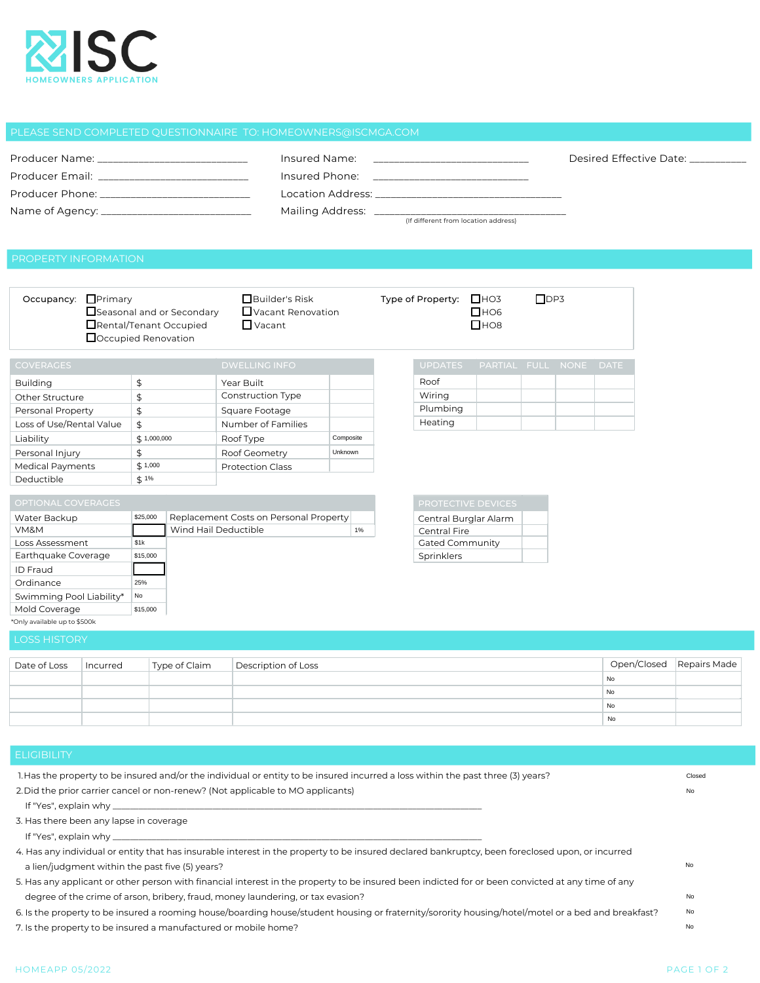

|                                                                                                                | Insured Name:                                                                                                                                                                                                                  | Desired Effective Date: |
|----------------------------------------------------------------------------------------------------------------|--------------------------------------------------------------------------------------------------------------------------------------------------------------------------------------------------------------------------------|-------------------------|
| Producer Email: The contract of the contract of the contract of the contract of the contract of the contract o | Insured Phone:                                                                                                                                                                                                                 |                         |
| Producer Phone: The Contract of the Contract of the Contract of the Contract of the Contract of the Contract o | Location Address: the contract of the contract of the contract of the contract of the contract of the contract of the contract of the contract of the contract of the contract of the contract of the contract of the contract |                         |
|                                                                                                                | (If different from location address)                                                                                                                                                                                           |                         |

| Occupancy: Primary<br>Seasonal and or Secondary<br>Rental/Tenant Occupied<br>□ Occupied Renovation                                                                                                                               |          |               | Builder's Risk<br>$\Box$ Vacant Renovation<br>$\Box$ Vacant |            |                                                                                                                                                    | Type of Property: $\Box$ HO3 | $\Box$ HO6<br>$\square$ HO8 | $\Box$ DP3             |  |  |                        |    |             |              |
|----------------------------------------------------------------------------------------------------------------------------------------------------------------------------------------------------------------------------------|----------|---------------|-------------------------------------------------------------|------------|----------------------------------------------------------------------------------------------------------------------------------------------------|------------------------------|-----------------------------|------------------------|--|--|------------------------|----|-------------|--------------|
| <b>COVERAGES</b>                                                                                                                                                                                                                 |          |               |                                                             |            | <b>DWELLING INFO</b>                                                                                                                               |                              |                             | <b>UPDATES</b>         |  |  | PARTIAL FULL NONE DATE |    |             |              |
| <b>Building</b>                                                                                                                                                                                                                  |          | $\frac{4}{3}$ |                                                             | Year Built |                                                                                                                                                    |                              |                             | Roof                   |  |  |                        |    |             |              |
| Other Structure                                                                                                                                                                                                                  |          | \$            |                                                             |            | Construction Type                                                                                                                                  |                              |                             | Wiring                 |  |  |                        |    |             |              |
| Personal Property                                                                                                                                                                                                                |          | \$            |                                                             |            | Square Footage                                                                                                                                     |                              |                             | Plumbing               |  |  |                        |    |             |              |
| Loss of Use/Rental Value                                                                                                                                                                                                         |          | $\frac{4}{5}$ |                                                             |            | Number of Families                                                                                                                                 |                              |                             | Heating                |  |  |                        |    |             |              |
| Liability                                                                                                                                                                                                                        |          | \$1,000,000   |                                                             |            | Roof Type                                                                                                                                          | Composite                    |                             |                        |  |  |                        |    |             |              |
| Personal Injury                                                                                                                                                                                                                  |          | \$            |                                                             |            | Roof Geometry                                                                                                                                      | Unknown                      |                             |                        |  |  |                        |    |             |              |
| <b>Medical Payments</b>                                                                                                                                                                                                          |          | \$1,000       |                                                             |            | <b>Protection Class</b>                                                                                                                            |                              |                             |                        |  |  |                        |    |             |              |
| Deductible                                                                                                                                                                                                                       |          | \$1%          |                                                             |            |                                                                                                                                                    |                              |                             |                        |  |  |                        |    |             |              |
|                                                                                                                                                                                                                                  |          |               |                                                             |            |                                                                                                                                                    |                              |                             |                        |  |  |                        |    |             |              |
| OPTIONAL COVERAGES                                                                                                                                                                                                               |          |               |                                                             |            |                                                                                                                                                    |                              |                             | PROTECTIVE DEVICES     |  |  |                        |    |             |              |
| Water Backup                                                                                                                                                                                                                     |          | \$25,000      |                                                             |            | Replacement Costs on Personal Property                                                                                                             |                              |                             | Central Burglar Alarm  |  |  |                        |    |             |              |
| VM&M                                                                                                                                                                                                                             |          |               | Wind Hail Deductible                                        |            |                                                                                                                                                    | $1\%$                        |                             | Central Fire           |  |  |                        |    |             |              |
| Loss Assessment                                                                                                                                                                                                                  |          | \$1k          |                                                             |            |                                                                                                                                                    |                              |                             | <b>Gated Community</b> |  |  |                        |    |             |              |
| Earthquake Coverage                                                                                                                                                                                                              |          | \$15,000      |                                                             |            |                                                                                                                                                    |                              |                             | Sprinklers             |  |  |                        |    |             |              |
| ID Fraud                                                                                                                                                                                                                         |          |               |                                                             |            |                                                                                                                                                    |                              |                             |                        |  |  |                        |    |             |              |
| Ordinance                                                                                                                                                                                                                        |          | 25%           |                                                             |            |                                                                                                                                                    |                              |                             |                        |  |  |                        |    |             |              |
| Swimming Pool Liability*                                                                                                                                                                                                         |          | No            |                                                             |            |                                                                                                                                                    |                              |                             |                        |  |  |                        |    |             |              |
| Mold Coverage<br>*Only available up to \$500k                                                                                                                                                                                    |          | \$15,000      |                                                             |            |                                                                                                                                                    |                              |                             |                        |  |  |                        |    |             |              |
|                                                                                                                                                                                                                                  |          |               |                                                             |            |                                                                                                                                                    |                              |                             |                        |  |  |                        |    |             |              |
| <b>LOSS HISTORY</b>                                                                                                                                                                                                              |          |               |                                                             |            |                                                                                                                                                    |                              |                             |                        |  |  |                        |    |             |              |
|                                                                                                                                                                                                                                  |          |               |                                                             |            |                                                                                                                                                    |                              |                             |                        |  |  |                        |    | Open/Closed | Repairs Made |
| Date of Loss                                                                                                                                                                                                                     | Incurred |               | Type of Claim                                               |            | Description of Loss                                                                                                                                |                              |                             |                        |  |  |                        | No |             |              |
|                                                                                                                                                                                                                                  |          |               |                                                             |            |                                                                                                                                                    |                              |                             |                        |  |  |                        | No |             |              |
|                                                                                                                                                                                                                                  |          |               |                                                             |            |                                                                                                                                                    |                              |                             |                        |  |  |                        | No |             |              |
|                                                                                                                                                                                                                                  |          |               |                                                             |            |                                                                                                                                                    |                              |                             |                        |  |  |                        | No |             |              |
|                                                                                                                                                                                                                                  |          |               |                                                             |            |                                                                                                                                                    |                              |                             |                        |  |  |                        |    |             |              |
|                                                                                                                                                                                                                                  |          |               |                                                             |            |                                                                                                                                                    |                              |                             |                        |  |  |                        |    |             |              |
| <b>ELIGIBILITY</b>                                                                                                                                                                                                               |          |               |                                                             |            |                                                                                                                                                    |                              |                             |                        |  |  |                        |    |             |              |
|                                                                                                                                                                                                                                  |          |               |                                                             |            |                                                                                                                                                    |                              |                             |                        |  |  |                        |    |             | Closed       |
| 1. Has the property to be insured and/or the individual or entity to be insured incurred a loss within the past three (3) years?<br>2. Did the prior carrier cancel or non-renew? (Not applicable to MO applicants)<br><b>No</b> |          |               |                                                             |            |                                                                                                                                                    |                              |                             |                        |  |  |                        |    |             |              |
|                                                                                                                                                                                                                                  |          |               |                                                             |            |                                                                                                                                                    |                              |                             |                        |  |  |                        |    |             |              |
| If "Yes", explain why __                                                                                                                                                                                                         |          |               |                                                             |            |                                                                                                                                                    |                              |                             |                        |  |  |                        |    |             |              |
| 3. Has there been any lapse in coverage                                                                                                                                                                                          |          |               |                                                             |            |                                                                                                                                                    |                              |                             |                        |  |  |                        |    |             |              |
| If "Yes", explain why __                                                                                                                                                                                                         |          |               |                                                             |            |                                                                                                                                                    |                              |                             |                        |  |  |                        |    |             |              |
| 4. Has any individual or entity that has insurable interest in the property to be insured declared bankruptcy, been foreclosed upon, or incurred                                                                                 |          |               |                                                             |            |                                                                                                                                                    |                              |                             |                        |  |  |                        |    |             |              |
| No<br>a lien/judgment within the past five (5) years?                                                                                                                                                                            |          |               |                                                             |            |                                                                                                                                                    |                              |                             |                        |  |  |                        |    |             |              |
| 5. Has any applicant or other person with financial interest in the property to be insured been indicted for or been convicted at any time of any                                                                                |          |               |                                                             |            |                                                                                                                                                    |                              |                             |                        |  |  |                        |    |             |              |
|                                                                                                                                                                                                                                  |          |               |                                                             |            | degree of the crime of arson, bribery, fraud, money laundering, or tax evasion?                                                                    |                              |                             |                        |  |  |                        |    |             | No           |
|                                                                                                                                                                                                                                  |          |               |                                                             |            | 6. Is the property to be insured a rooming house/boarding house/student housing or fraternity/sorority housing/hotel/motel or a bed and breakfast? |                              |                             |                        |  |  |                        |    |             | No           |
| 7 Is the property to be insured a manufactured or mobile home?                                                                                                                                                                   |          |               |                                                             |            |                                                                                                                                                    |                              |                             |                        |  |  |                        |    |             | No           |

- If "Yes", explain why \_
- 3. Has there been any lapse in coverage
- If "Yes", explain why\_

7. Is the property to be insured a manufactured or mobile home?